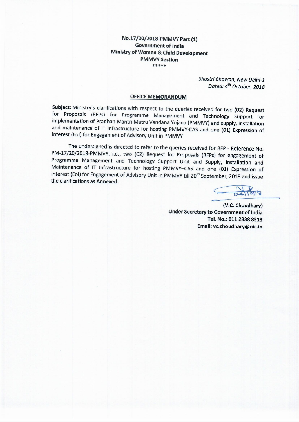### No.17/20/2018-PMMVY Part (1) **Government of India** Ministry of Women & Child Development **PMMVY Section** \*\*\*\*\*

Shastri Bhawan, New Delhi-1 Dated: 4<sup>th</sup> October, 2018

#### **OFFICE MEMORANDUM**

Subject: Ministry's clarifications with respect to the queries received for two (02) Request for Proposals (RFPs) for Programme Management and Technology Support for implementation of Pradhan Mantri Matru Vandana Yojana (PMMVY) and supply, installation and maintenance of IT infrastructure for hosting PMMVY-CAS and one (01) Expression of Interest (EoI) for Engagement of Advisory Unit in PMMVY

The undersigned is directed to refer to the queries received for RFP - Reference No. PM-17/20/2018-PMMVY, i.e., two (02) Request for Proposals (RFPs) for engagement of Programme Management and Technology Support Unit and Supply, Installation and Maintenance of IT Infrastructure for hosting PMMVY-CAS and one (01) Expression of Interest (EoI) for Engagement of Advisory Unit in PMMVY till 20<sup>th</sup> September, 2018 and issue the clarifications as Annexed.

(V.C. Choudhary) Under Secretary to Government of India Tel. No.: 011 2338 8513 Email: vc.choudhary@nic.in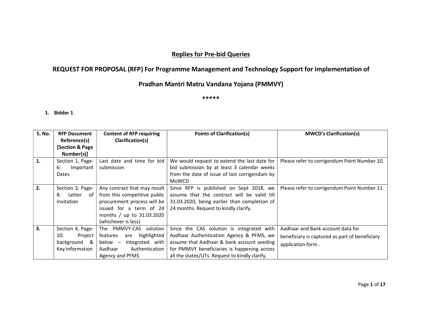# Replies for Pre-bid Queries

# REQUEST FOR PROPOSAL (RFP) For Programme Management and Technology Support for implementation of

## Pradhan Mantri Matru Vandana Yojana (PMMVY)

\*\*\*\*\*

| <b>S. No.</b> | <b>RFP Document</b>       | <b>Content of RFP requiring</b> | <b>Points of Clarification(s)</b>              | <b>MWCD's Clarification(s)</b>                 |
|---------------|---------------------------|---------------------------------|------------------------------------------------|------------------------------------------------|
|               | Reference(s)              | Clarification(s)                |                                                |                                                |
|               | <b>Section &amp; Page</b> |                                 |                                                |                                                |
|               | Number(s)]                |                                 |                                                |                                                |
| 1.            | Section 1, Page-          | Last date and time for bid      | We would request to extend the last date for   | Please refer to corrigendum Point Number 10.   |
|               | Important<br>6:           | submission                      | bid submission by at least 3 calendar weeks    |                                                |
|               | Dates                     |                                 | from the date of issue of last corrigendum by  |                                                |
|               |                           |                                 | MoWCD                                          |                                                |
| 2.            | Section 3, Page-          | Any contract that may result    | Since RFP is published on Sept 2018, we        | Please refer to corrigendum Point Number 11.   |
|               | 8:<br>Letter<br>of        | from this competitive public    | assume that the contract will be valid till    |                                                |
|               | <b>Invitation</b>         | procurement process will be     | 31.03.2020, being earlier than completion of   |                                                |
|               |                           | issued for a term of 24         | 24 months. Request to kindly clarify.          |                                                |
|               |                           | months / up to 31.03.2020       |                                                |                                                |
|               |                           | (whichever is less)             |                                                |                                                |
| 3.            | Section 4, Page-          | The PMMVY-CAS solution          | Since the CAS solution is integrated with      | Aadhaar and Bank account data for              |
|               | Project<br>10:            | highlighted<br>features<br>are  | Aadhaar Authentication Agency & PFMS, we       | beneficiary is captured as part of beneficiary |
|               | background &              | below –<br>Integrated with      | assume that Aadhaar & bank account seeding     | application form.                              |
|               | Key Information           | Authentication<br>Aadhaar       | for PMMVY beneficiaries is happening across    |                                                |
|               |                           | Agency and PFMS                 | all the states/UTs. Request to kindly clarify. |                                                |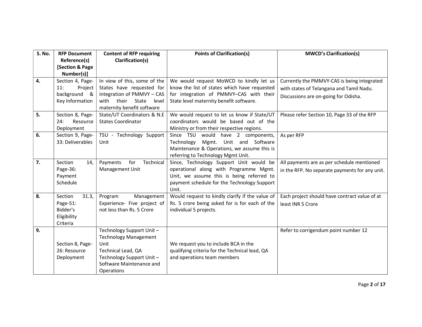| S. No. | <b>RFP Document</b>                                                                                   | <b>Content of RFP requiring</b><br>Clarification(s)                                                                                                                                      | <b>Points of Clarification(s)</b>                                                                                                                                                                                                                                                                                               | <b>MWCD's Clarification(s)</b>                                     |
|--------|-------------------------------------------------------------------------------------------------------|------------------------------------------------------------------------------------------------------------------------------------------------------------------------------------------|---------------------------------------------------------------------------------------------------------------------------------------------------------------------------------------------------------------------------------------------------------------------------------------------------------------------------------|--------------------------------------------------------------------|
|        | Reference(s)<br>[Section & Page                                                                       |                                                                                                                                                                                          |                                                                                                                                                                                                                                                                                                                                 |                                                                    |
|        | Number(s)]                                                                                            |                                                                                                                                                                                          |                                                                                                                                                                                                                                                                                                                                 |                                                                    |
| 4.     | Section 4, Page-                                                                                      | In view of this, some of the                                                                                                                                                             | We would request MoWCD to kindly let us                                                                                                                                                                                                                                                                                         | Currently the PMMVY-CAS is being integrated                        |
|        | 11:<br>Project                                                                                        | States have requested for                                                                                                                                                                | know the list of states which have requested                                                                                                                                                                                                                                                                                    | with states of Telangana and Tamil Nadu.                           |
|        | background &                                                                                          | integration of PMMVY - CAS                                                                                                                                                               | for integration of PMMVY-CAS with their                                                                                                                                                                                                                                                                                         | Discussions are on-going for Odisha.                               |
|        | Key Information                                                                                       | with<br>their State<br>level                                                                                                                                                             | State level maternity benefit software.                                                                                                                                                                                                                                                                                         |                                                                    |
|        |                                                                                                       | maternity benefit software                                                                                                                                                               |                                                                                                                                                                                                                                                                                                                                 |                                                                    |
| 5.     | Section 8, Page-<br>Resource<br>24:                                                                   | State/UT Coordinators & N.E<br><b>States Coordinator</b>                                                                                                                                 | We would request to let us know if State/UT<br>coordinators would be based out of the                                                                                                                                                                                                                                           | Please refer Section 10, Page 33 of the RFP                        |
|        | Deployment                                                                                            |                                                                                                                                                                                          | Ministry or from their respective regions.                                                                                                                                                                                                                                                                                      |                                                                    |
| 6.     | Section 9, Page-                                                                                      | TSU - Technology Support                                                                                                                                                                 | would have 2 components,<br>Since TSU                                                                                                                                                                                                                                                                                           | As per RFP                                                         |
|        | 33: Deliverables                                                                                      | Unit                                                                                                                                                                                     | Unit and Software<br>Technology<br>Mgmt.                                                                                                                                                                                                                                                                                        |                                                                    |
|        |                                                                                                       |                                                                                                                                                                                          | Maintenance & Operations, we assume this is                                                                                                                                                                                                                                                                                     |                                                                    |
|        |                                                                                                       |                                                                                                                                                                                          | referring to Technology Mgmt Unit.                                                                                                                                                                                                                                                                                              |                                                                    |
| 7.     | Section<br>14,                                                                                        | for<br>Technical<br>Payments                                                                                                                                                             | Since, Technology Support Unit would be                                                                                                                                                                                                                                                                                         | All payments are as per schedule mentioned                         |
|        | Page-36:                                                                                              | Management Unit                                                                                                                                                                          | operational along with Programme Mgmt.                                                                                                                                                                                                                                                                                          | in the RFP. No separate payments for any unit.                     |
|        |                                                                                                       |                                                                                                                                                                                          |                                                                                                                                                                                                                                                                                                                                 |                                                                    |
|        |                                                                                                       |                                                                                                                                                                                          |                                                                                                                                                                                                                                                                                                                                 |                                                                    |
|        |                                                                                                       |                                                                                                                                                                                          |                                                                                                                                                                                                                                                                                                                                 |                                                                    |
|        |                                                                                                       |                                                                                                                                                                                          |                                                                                                                                                                                                                                                                                                                                 |                                                                    |
|        | Bidder's                                                                                              | not less than Rs. 5 Crore                                                                                                                                                                | individual 5 projects.                                                                                                                                                                                                                                                                                                          |                                                                    |
|        | Eligibility                                                                                           |                                                                                                                                                                                          |                                                                                                                                                                                                                                                                                                                                 |                                                                    |
|        | Criteria                                                                                              |                                                                                                                                                                                          |                                                                                                                                                                                                                                                                                                                                 |                                                                    |
| 9.     |                                                                                                       | Technology Support Unit-                                                                                                                                                                 |                                                                                                                                                                                                                                                                                                                                 | Refer to corrigendum point number 12                               |
|        |                                                                                                       |                                                                                                                                                                                          |                                                                                                                                                                                                                                                                                                                                 |                                                                    |
|        |                                                                                                       |                                                                                                                                                                                          |                                                                                                                                                                                                                                                                                                                                 |                                                                    |
|        |                                                                                                       |                                                                                                                                                                                          |                                                                                                                                                                                                                                                                                                                                 |                                                                    |
|        |                                                                                                       |                                                                                                                                                                                          |                                                                                                                                                                                                                                                                                                                                 |                                                                    |
|        |                                                                                                       |                                                                                                                                                                                          |                                                                                                                                                                                                                                                                                                                                 |                                                                    |
| 8.     | Payment<br>Schedule<br>Section<br>31.3,<br>Page-51:<br>Section 8, Page-<br>26: Resource<br>Deployment | Management<br>Program<br>Experience- Five project of<br><b>Technology Management</b><br>Unit<br>Technical Lead, QA<br>Technology Support Unit-<br>Software Maintenance and<br>Operations | Unit, we assume this is being referred to<br>payment schedule for the Technology Support<br>Unit.<br>Would request to kindly clarify if the value of<br>Rs. 5 crore being asked for is for each of the<br>We request you to include BCA in the<br>qualifying criteria for the Technical lead, QA<br>and operations team members | Each project should have contract value of at<br>least INR 5 Crore |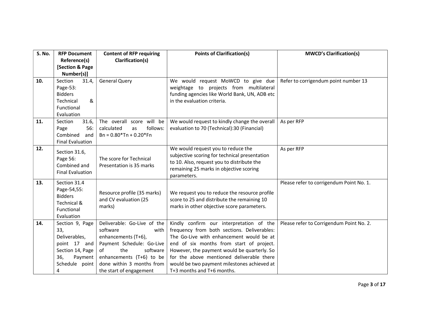| <b>S. No.</b> | <b>RFP Document</b>                                                                                                  | <b>Content of RFP requiring</b>                                                                                                                                                                                  | <b>Points of Clarification(s)</b>                                                                                                                                                                                                                                                                                                                        | <b>MWCD's Clarification(s)</b>           |
|---------------|----------------------------------------------------------------------------------------------------------------------|------------------------------------------------------------------------------------------------------------------------------------------------------------------------------------------------------------------|----------------------------------------------------------------------------------------------------------------------------------------------------------------------------------------------------------------------------------------------------------------------------------------------------------------------------------------------------------|------------------------------------------|
|               | Reference(s)                                                                                                         | Clarification(s)                                                                                                                                                                                                 |                                                                                                                                                                                                                                                                                                                                                          |                                          |
|               | [Section & Page<br>Number(s)]                                                                                        |                                                                                                                                                                                                                  |                                                                                                                                                                                                                                                                                                                                                          |                                          |
| 10.           | Section<br>31.4,<br>Page-53:<br><b>Bidders</b><br>&<br>Technical<br>Functional<br>Evaluation                         | <b>General Query</b>                                                                                                                                                                                             | We would request MoWCD to give due<br>weightage to projects from multilateral<br>funding agencies like World Bank, UN, ADB etc<br>in the evaluation criteria.                                                                                                                                                                                            | Refer to corrigendum point number 13     |
| 11.           | 31.6,<br>Section<br>56:<br>Page<br>Combined<br>and<br><b>Final Evaluation</b>                                        | The overall score will be<br>calculated<br>follows:<br>as<br>$Bn = 0.80*Tn + 0.20*Fn$                                                                                                                            | We would request to kindly change the overall<br>evaluation to 70 (Technical):30 (Financial)                                                                                                                                                                                                                                                             | As per RFP                               |
| 12.           | Section 31.6,<br>Page 56:<br>Combined and<br><b>Final Evaluation</b>                                                 | The score for Technical<br>Presentation is 35 marks                                                                                                                                                              | We would request you to reduce the<br>subjective scoring for technical presentation<br>to 10. Also, request you to distribute the<br>remaining 25 marks in objective scoring<br>parameters.                                                                                                                                                              | As per RFP                               |
| 13.           | Section 31.4<br>Page-54,55:<br><b>Bidders</b><br><b>Technical &amp;</b><br>Functional<br>Evaluation                  | Resource profile (35 marks)<br>and CV evaluation (25<br>marks)                                                                                                                                                   | We request you to reduce the resource profile<br>score to 25 and distribute the remaining 10<br>marks in other objective score parameters.                                                                                                                                                                                                               | Please refer to corrigendum Point No. 1. |
| 14.           | Section 9, Page<br>33,<br>Deliverables,<br>point 17 and<br>Section 14, Page<br>36,<br>Payment<br>Schedule point<br>4 | Deliverable: Go-Live of the<br>software<br>with<br>enhancements (T+6),<br>Payment Schedule: Go-Live<br>the<br>software<br>of<br>enhancements (T+6) to be<br>done within 3 months from<br>the start of engagement | Kindly confirm our interpretation of the<br>frequency from both sections. Deliverables:<br>The Go-Live with enhancement would be at<br>end of six months from start of project.<br>However, the payment would be quarterly. So<br>for the above mentioned deliverable there<br>would be two payment milestones achieved at<br>T+3 months and T+6 months. | Please refer to Corrigendum Point No. 2. |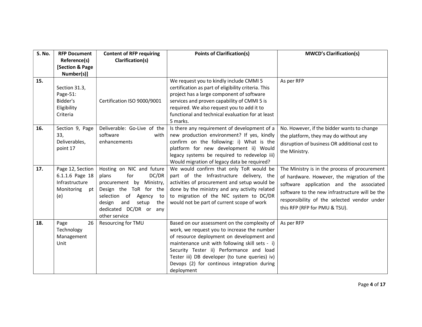| <b>S. No.</b> | <b>RFP Document</b><br>Reference(s)<br>[Section & Page<br>Number(s)]             | <b>Content of RFP requiring</b><br>Clarification(s)                                                                                                                                                                     | <b>Points of Clarification(s)</b>                                                                                                                                                                                                                                                                                                                      | <b>MWCD's Clarification(s)</b>                                                                                                                                                                                                                                           |
|---------------|----------------------------------------------------------------------------------|-------------------------------------------------------------------------------------------------------------------------------------------------------------------------------------------------------------------------|--------------------------------------------------------------------------------------------------------------------------------------------------------------------------------------------------------------------------------------------------------------------------------------------------------------------------------------------------------|--------------------------------------------------------------------------------------------------------------------------------------------------------------------------------------------------------------------------------------------------------------------------|
| 15.           | Section 31.3,<br>Page-51:<br>Bidder's<br>Eligibility<br>Criteria                 | Certification ISO 9000/9001                                                                                                                                                                                             | We request you to kindly include CMMI 5<br>certification as part of eligibility criteria. This<br>project has a large component of software<br>services and proven capability of CMMI 5 is<br>required. We also request you to add it to<br>functional and technical evaluation for at least<br>5 marks.                                               | As per RFP                                                                                                                                                                                                                                                               |
| 16.           | Section 9, Page<br>33,<br>Deliverables,<br>point 17                              | Deliverable: Go-Live of the<br>software<br>with<br>enhancements                                                                                                                                                         | Is there any requirement of development of a<br>new production environment? If yes, kindly<br>confirm on the following: i) What is the<br>platform for new development ii) Would<br>legacy systems be required to redevelop iii)<br>Would migration of legacy data be required?                                                                        | No. However, if the bidder wants to change<br>the platform, they may do without any<br>disruption of business OR additional cost to<br>the Ministry.                                                                                                                     |
| 17.           | Page 12, Section<br>6.1.1.6 Page 18<br>Infrastructure<br>Monitoring<br>pt<br>(e) | Hosting on NIC and future<br>for<br>DC/DR<br>plans<br>procurement by<br>Ministry,<br>Design the ToR for the<br>selection of<br>Agency<br>to<br>and<br>design<br>setup<br>the<br>dedicated DC/DR or any<br>other service | We would confirm that only ToR would be<br>part of the Infrastructure delivery, the<br>activities of procurement and setup would be<br>done by the ministry and any activity related<br>to migration of the NIC system to DC/DR<br>would not be part of current scope of work                                                                          | The Ministry is in the process of procurement<br>of hardware. However, the migration of the<br>software application and the associated<br>software to the new infrastructure will be the<br>responsibility of the selected vendor under<br>this RFP (RFP for PMU & TSU). |
| 18.           | 26<br>Page<br>Technology<br>Management<br>Unit                                   | Resourcing for TMU                                                                                                                                                                                                      | Based on our assessment on the complexity of<br>work, we request you to increase the number<br>of resource deployment on development and<br>maintenance unit with following skill sets - i)<br>Security Tester ii) Performance and load<br>Tester iii) DB developer (to tune queries) iv)<br>Devops (2) for continous integration during<br>deployment | As per RFP                                                                                                                                                                                                                                                               |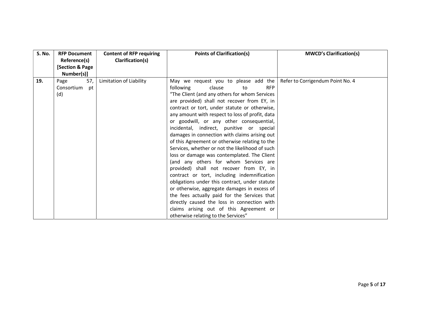| <b>S. No.</b> | <b>RFP Document</b><br>Reference(s)<br><b>Section &amp; Page</b><br>Number(s)] | <b>Content of RFP requiring</b><br>Clarification(s) | <b>Points of Clarification(s)</b>                                                                                                                                                                                                                                                                                                                                                                                                                                                                                                                                                                                                                                                                                                                                                                                                                                                                                                                                                                       | <b>MWCD's Clarification(s)</b>   |
|---------------|--------------------------------------------------------------------------------|-----------------------------------------------------|---------------------------------------------------------------------------------------------------------------------------------------------------------------------------------------------------------------------------------------------------------------------------------------------------------------------------------------------------------------------------------------------------------------------------------------------------------------------------------------------------------------------------------------------------------------------------------------------------------------------------------------------------------------------------------------------------------------------------------------------------------------------------------------------------------------------------------------------------------------------------------------------------------------------------------------------------------------------------------------------------------|----------------------------------|
| 19.           | 57,<br>Page<br>Consortium<br>pt<br>(d)                                         | Limitation of Liability                             | May we request you to please add the<br>following<br>clause<br><b>RFP</b><br>to<br>"The Client (and any others for whom Services<br>are provided) shall not recover from EY, in<br>contract or tort, under statute or otherwise,<br>any amount with respect to loss of profit, data<br>or goodwill, or any other consequential,<br>incidental, indirect, punitive or special<br>damages in connection with claims arising out<br>of this Agreement or otherwise relating to the<br>Services, whether or not the likelihood of such<br>loss or damage was contemplated. The Client<br>(and any others for whom Services are<br>provided) shall not recover from EY, in<br>contract or tort, including indemnification<br>obligations under this contract, under statute<br>or otherwise, aggregate damages in excess of<br>the fees actually paid for the Services that<br>directly caused the loss in connection with<br>claims arising out of this Agreement or<br>otherwise relating to the Services" | Refer to Corrigendum Point No. 4 |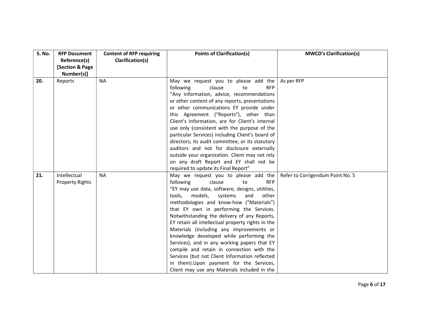| <b>S. No.</b> | <b>RFP Document</b><br>Reference(s)<br>[Section & Page<br>Number(s)] | <b>Content of RFP requiring</b><br>Clarification(s) | <b>Points of Clarification(s)</b>                                                                                                                                                                                                                                                                                                                                                                                                                                                                                                                                                                                                                                                                                 | <b>MWCD's Clarification(s)</b>   |
|---------------|----------------------------------------------------------------------|-----------------------------------------------------|-------------------------------------------------------------------------------------------------------------------------------------------------------------------------------------------------------------------------------------------------------------------------------------------------------------------------------------------------------------------------------------------------------------------------------------------------------------------------------------------------------------------------------------------------------------------------------------------------------------------------------------------------------------------------------------------------------------------|----------------------------------|
| 20.           | Reports                                                              | <b>NA</b>                                           | May we request you to please add the<br>following<br>clause<br>to<br><b>RFP</b><br>"Any information, advice, recommendations<br>or other content of any reports, presentations<br>or other communications EY provide under<br>this Agreement ("Reports"), other than<br>Client's Information, are for Client's internal<br>use only (consistent with the purpose of the<br>particular Services) including Client's board of<br>directors, its audit committee, or its statutory<br>auditors and not for disclosure externally<br>outside your organization. Client may not rely<br>on any draft Report and EY shall not be<br>required to update its Final Report"                                                | As per RFP                       |
| 21.           | Intellectual<br><b>Property Rights</b>                               | <b>NA</b>                                           | May we request you to please add the<br>following<br>clause<br><b>RFP</b><br>to<br>"EY may use data, software, designs, utilities,<br>tools,<br>models,<br>systems<br>and<br>other<br>methodologies and know-how ("Materials")<br>that EY own in performing the Services.<br>Notwithstanding the delivery of any Reports,<br>EY retain all intellectual property rights in the<br>Materials (including any improvements or<br>knowledge developed while performing the<br>Services), and in any working papers that EY<br>compile and retain in connection with the<br>Services (but not Client Information reflected<br>in them). Upon payment for the Services,<br>Client may use any Materials included in the | Refer to Corrigendum Point No. 5 |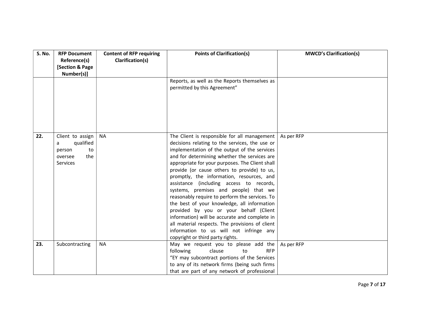| <b>S. No.</b> | <b>RFP Document</b><br>Reference(s)<br><b>Section &amp; Page</b><br>Number(s)]          | <b>Content of RFP requiring</b><br>Clarification(s) | <b>Points of Clarification(s)</b>                                                                                                                                                                                                                                                                                                                                                                                                                                                                                                                                                                                                                                                                                                                                | <b>MWCD's Clarification(s)</b> |
|---------------|-----------------------------------------------------------------------------------------|-----------------------------------------------------|------------------------------------------------------------------------------------------------------------------------------------------------------------------------------------------------------------------------------------------------------------------------------------------------------------------------------------------------------------------------------------------------------------------------------------------------------------------------------------------------------------------------------------------------------------------------------------------------------------------------------------------------------------------------------------------------------------------------------------------------------------------|--------------------------------|
|               |                                                                                         |                                                     | Reports, as well as the Reports themselves as<br>permitted by this Agreement"                                                                                                                                                                                                                                                                                                                                                                                                                                                                                                                                                                                                                                                                                    |                                |
| 22.           | Client to assign<br>qualified<br>a<br>to<br>person<br>the<br>oversee<br><b>Services</b> | <b>NA</b>                                           | The Client is responsible for all management<br>decisions relating to the services, the use or<br>implementation of the output of the services<br>and for determining whether the services are<br>appropriate for your purposes. The Client shall<br>provide (or cause others to provide) to us,<br>promptly, the information, resources, and<br>assistance (including access to records,<br>systems, premises and people) that we<br>reasonably require to perform the services. To<br>the best of your knowledge, all information<br>provided by you or your behalf (Client<br>information) will be accurate and complete in<br>all material respects. The provisions of client<br>information to us will not infringe any<br>copyright or third party rights. | As per RFP                     |
| 23.           | Subcontracting                                                                          | <b>NA</b>                                           | May we request you to please add the<br>clause<br>following<br>to<br><b>RFP</b><br>"EY may subcontract portions of the Services<br>to any of its network firms (being such firms<br>that are part of any network of professional                                                                                                                                                                                                                                                                                                                                                                                                                                                                                                                                 | As per RFP                     |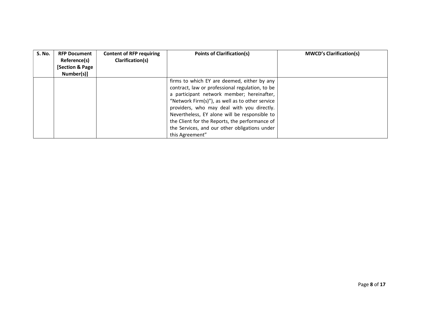| <b>S. No.</b> | <b>RFP Document</b><br>Reference(s)<br>[Section & Page<br>Number(s)] | <b>Content of RFP requiring</b><br>Clarification(s) | <b>Points of Clarification(s)</b>                                                                                                                                                                                                                                                                                                                                                                                    | <b>MWCD's Clarification(s)</b> |
|---------------|----------------------------------------------------------------------|-----------------------------------------------------|----------------------------------------------------------------------------------------------------------------------------------------------------------------------------------------------------------------------------------------------------------------------------------------------------------------------------------------------------------------------------------------------------------------------|--------------------------------|
|               |                                                                      |                                                     | firms to which EY are deemed, either by any<br>contract, law or professional regulation, to be<br>a participant network member; hereinafter,<br>"Network Firm(s)"), as well as to other service<br>providers, who may deal with you directly.<br>Nevertheless, EY alone will be responsible to<br>the Client for the Reports, the performance of<br>the Services, and our other obligations under<br>this Agreement" |                                |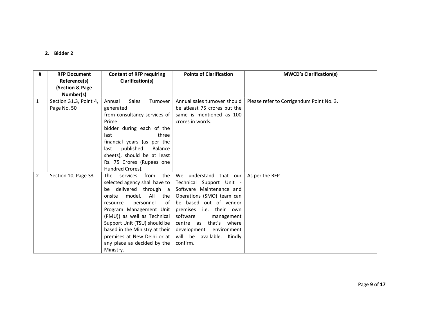| #              | <b>RFP Document</b><br>Reference(s)<br>(Section & Page)<br>Number(s) | <b>Content of RFP requiring</b><br>Clarification(s)                                                                                                                                                                                                                                                                                                            | <b>Points of Clarification</b>                                                                                                                                                                                                                                                           | <b>MWCD's Clarification(s)</b>           |
|----------------|----------------------------------------------------------------------|----------------------------------------------------------------------------------------------------------------------------------------------------------------------------------------------------------------------------------------------------------------------------------------------------------------------------------------------------------------|------------------------------------------------------------------------------------------------------------------------------------------------------------------------------------------------------------------------------------------------------------------------------------------|------------------------------------------|
| 1              | Section 31.3, Point 4,<br>Page No. 50                                | Sales<br>Turnover<br>Annual<br>generated<br>from consultancy services of<br>Prime<br>bidder during each of the<br>last<br>three<br>financial years (as per the<br>published<br>Balance<br>last<br>sheets), should be at least<br>Rs. 75 Crores (Rupees one<br>Hundred Crores).                                                                                 | Annual sales turnover should<br>be atleast 75 crores but the<br>same is mentioned as 100<br>crores in words.                                                                                                                                                                             | Please refer to Corrigendum Point No. 3. |
| $\overline{2}$ | Section 10, Page 33                                                  | the<br>The services<br>from<br>selected agency shall have to<br>be delivered through a<br>model.<br>All<br>onsite<br>the<br>personnel<br>of<br>resource<br>Program Management Unit<br>(PMU)) as well as Technical<br>Support Unit (TSU) should be<br>based in the Ministry at their<br>premises at New Delhi or at<br>any place as decided by the<br>Ministry. | We understand that our<br>Technical Support Unit -<br>Software Maintenance and<br>Operations (SMO) team can<br>be based out of vendor<br>premises i.e. their own<br>software<br>management<br>centre as that's where<br>development environment<br>will be available. Kindly<br>confirm. | As per the RFP                           |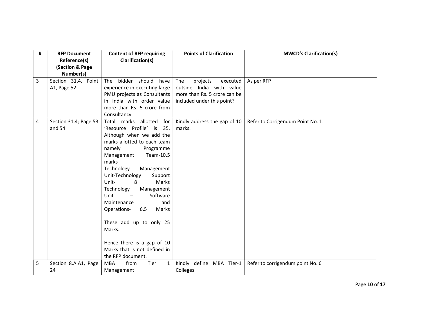| # | <b>RFP Document</b><br>Reference(s)<br>(Section & Page<br>Number(s) | <b>Content of RFP requiring</b><br>Clarification(s)                                                                                                                                                                                                                                                                                                                                                                                                                                                                         | <b>Points of Clarification</b>                                                                                        | <b>MWCD's Clarification(s)</b>    |
|---|---------------------------------------------------------------------|-----------------------------------------------------------------------------------------------------------------------------------------------------------------------------------------------------------------------------------------------------------------------------------------------------------------------------------------------------------------------------------------------------------------------------------------------------------------------------------------------------------------------------|-----------------------------------------------------------------------------------------------------------------------|-----------------------------------|
| 3 | Section 31.4, Point<br>A1, Page 52                                  | bidder should<br>The<br>have<br>experience in executing large<br>PMU projects as Consultants<br>in India with order value<br>more than Rs. 5 crore from<br>Consultancy                                                                                                                                                                                                                                                                                                                                                      | The<br>projects<br>executed<br>outside India with value<br>more than Rs. 5 crore can be<br>included under this point? | As per RFP                        |
| 4 | Section 31.4; Page 53<br>and 54                                     | Total marks allotted<br>for<br>'Resource Profile' is<br>35.<br>Although when we add the<br>marks allotted to each team<br>namely<br>Programme<br>Team-10.5<br>Management<br>marks<br>Technology<br>Management<br>Unit-Technology<br>Support<br>Marks<br>Unit-<br>8<br>Technology<br>Management<br>Software<br>Unit<br>$\overline{\phantom{m}}$<br>Maintenance<br>and<br>6.5<br>Operations-<br>Marks<br>These add up to only 25<br>Marks.<br>Hence there is a gap of 10<br>Marks that is not defined in<br>the RFP document. | Kindly address the gap of 10<br>marks.                                                                                | Refer to Corrigendum Point No. 1. |
| 5 | Section 8.A.A1, Page<br>24                                          | from<br>Tier<br><b>MBA</b><br>1<br>Management                                                                                                                                                                                                                                                                                                                                                                                                                                                                               | Kindly define MBA Tier-1<br>Colleges                                                                                  | Refer to corrigendum point No. 6  |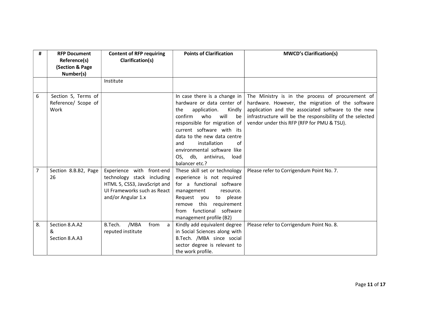| #  | <b>RFP Document</b><br>Reference(s)<br>(Section & Page | <b>Content of RFP requiring</b><br>Clarification(s)                                                                                          | <b>Points of Clarification</b>                                                                                                                                                                                                                                                                                    | <b>MWCD's Clarification(s)</b>                                                                                                                                                                                                                                        |
|----|--------------------------------------------------------|----------------------------------------------------------------------------------------------------------------------------------------------|-------------------------------------------------------------------------------------------------------------------------------------------------------------------------------------------------------------------------------------------------------------------------------------------------------------------|-----------------------------------------------------------------------------------------------------------------------------------------------------------------------------------------------------------------------------------------------------------------------|
|    | Number(s)                                              | Institute                                                                                                                                    |                                                                                                                                                                                                                                                                                                                   |                                                                                                                                                                                                                                                                       |
|    |                                                        |                                                                                                                                              |                                                                                                                                                                                                                                                                                                                   |                                                                                                                                                                                                                                                                       |
| 6  | Section 5, Terms of<br>Reference/ Scope of<br>Work     |                                                                                                                                              | In case there is a change in<br>hardware or data center of<br>application.<br>the<br>Kindly<br>confirm<br>who<br>will<br>be<br>responsible for migration of<br>current software with its<br>data to the new data centre<br>installation<br>and<br>of<br>environmental software like<br>OS, db, antivirus,<br>load | The Ministry is in the process of procurement of<br>hardware. However, the migration of the software<br>application and the associated software to the new<br>infrastructure will be the responsibility of the selected<br>vendor under this RFP (RFP for PMU & TSU). |
|    |                                                        |                                                                                                                                              | balancer etc.?                                                                                                                                                                                                                                                                                                    |                                                                                                                                                                                                                                                                       |
| 7  | Section 8.B.B2, Page<br>26                             | Experience with front-end<br>technology stack including<br>HTML 5, CSS3, JavaScript and<br>UI Frameworks such as React<br>and/or Angular 1.x | These skill set or technology<br>experience is not required<br>for a functional software<br>management<br>resource.<br>Request you to please<br>this<br>requirement<br>remove<br>from functional software<br>management profile (B2)                                                                              | Please refer to Corrigendum Point No. 7.                                                                                                                                                                                                                              |
| 8. | Section 8.A.A2<br>&<br>Section 8.A.A3                  | /MBA<br>from<br>B.Tech.<br>a<br>reputed institute                                                                                            | Kindly add equivalent degree<br>in Social Sciences along with<br>B.Tech. /MBA since social<br>sector degree is relevant to<br>the work profile.                                                                                                                                                                   | Please refer to Corrigendum Point No. 8.                                                                                                                                                                                                                              |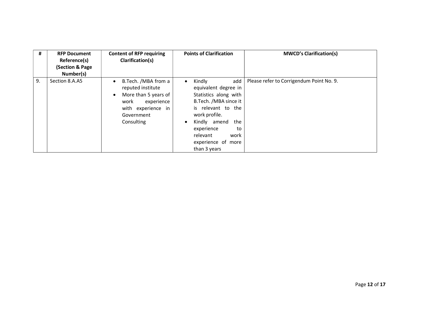| #  | <b>RFP Document</b><br>Reference(s)<br>(Section & Page<br>Number(s) | <b>Content of RFP requiring</b><br>Clarification(s)                                                                                                                | <b>Points of Clarification</b>                                                                                                                                                                                                                                | <b>MWCD's Clarification(s)</b>           |
|----|---------------------------------------------------------------------|--------------------------------------------------------------------------------------------------------------------------------------------------------------------|---------------------------------------------------------------------------------------------------------------------------------------------------------------------------------------------------------------------------------------------------------------|------------------------------------------|
| 9. | Section 8.A.A5                                                      | B.Tech. /MBA from a<br>$\bullet$<br>reputed institute<br>More than 5 years of<br>$\bullet$<br>work<br>experience<br>with experience in<br>Government<br>Consulting | Kindly<br>add<br>$\bullet$<br>equivalent degree in<br>Statistics along with<br>B.Tech. /MBA since it<br>is relevant to the<br>work profile.<br>Kindly amend<br>the<br>$\bullet$<br>experience<br>to<br>relevant<br>work<br>experience of more<br>than 3 years | Please refer to Corrigendum Point No. 9. |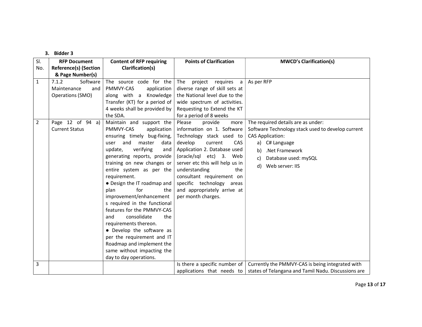| SI.                            | <b>RFP Document</b>                                                                                      | <b>Content of RFP requiring</b>                                                                                                                                                                                                                                                                                                                                                                                                                                                                                                                                                                                                                                                                                        | <b>Points of Clarification</b>                                                                                                                                                                                                                                                                                                                                                                                                                                                                                                                         | <b>MWCD's Clarification(s)</b>                                                                                                                                                                                                 |
|--------------------------------|----------------------------------------------------------------------------------------------------------|------------------------------------------------------------------------------------------------------------------------------------------------------------------------------------------------------------------------------------------------------------------------------------------------------------------------------------------------------------------------------------------------------------------------------------------------------------------------------------------------------------------------------------------------------------------------------------------------------------------------------------------------------------------------------------------------------------------------|--------------------------------------------------------------------------------------------------------------------------------------------------------------------------------------------------------------------------------------------------------------------------------------------------------------------------------------------------------------------------------------------------------------------------------------------------------------------------------------------------------------------------------------------------------|--------------------------------------------------------------------------------------------------------------------------------------------------------------------------------------------------------------------------------|
| No.                            | <b>Reference(s) (Section</b>                                                                             | Clarification(s)                                                                                                                                                                                                                                                                                                                                                                                                                                                                                                                                                                                                                                                                                                       |                                                                                                                                                                                                                                                                                                                                                                                                                                                                                                                                                        |                                                                                                                                                                                                                                |
|                                | & Page Number(s)                                                                                         |                                                                                                                                                                                                                                                                                                                                                                                                                                                                                                                                                                                                                                                                                                                        |                                                                                                                                                                                                                                                                                                                                                                                                                                                                                                                                                        |                                                                                                                                                                                                                                |
| $\mathbf{1}$<br>$\overline{2}$ | 7.1.2<br>Software<br>Maintenance<br>and<br>Operations (SMO)<br>Page 12 of 94 a)<br><b>Current Status</b> | The source code for the<br>PMMVY-CAS<br>application<br>along with a Knowledge<br>Transfer (KT) for a period of<br>4 weeks shall be provided by<br>the SDA.<br>Maintain and support the<br>PMMVY-CAS<br>application<br>ensuring timely bug-fixing,<br>and<br>master<br>data<br>user<br>verifying<br>update,<br>and<br>generating reports, provide<br>training on new changes or<br>entire system as per the<br>requirement.<br>• Design the IT roadmap and<br>for<br>the<br>plan<br>improvement/enhancement<br>s required in the functional<br>features for the PMMVY-CAS<br>consolidate<br>and<br>the<br>requirements thereon.<br>• Develop the software as<br>per the requirement and IT<br>Roadmap and implement the | The<br>project requires a<br>diverse range of skill sets at<br>the National level due to the<br>wide spectrum of activities.<br>Requesting to Extend the KT<br>for a period of 8 weeks<br>Please<br>provide<br>more<br>information on 1. Software<br>Technology stack used to<br>develop<br>current<br><b>CAS</b><br>Application 2. Database used<br>(oracle/sql etc) 3. Web<br>server etc this will help us in<br>understanding<br>the<br>consultant requirement on<br>specific technology areas<br>and appropriately arrive at<br>per month charges. | As per RFP<br>The required details are as under:<br>Software Technology stack used to develop current<br><b>CAS Application:</b><br>a) C# Language<br>.Net Framework<br>b)<br>Database used: mySQL<br>c)<br>d) Web server: IIS |
|                                |                                                                                                          | same without impacting the                                                                                                                                                                                                                                                                                                                                                                                                                                                                                                                                                                                                                                                                                             |                                                                                                                                                                                                                                                                                                                                                                                                                                                                                                                                                        |                                                                                                                                                                                                                                |
|                                |                                                                                                          | day to day operations.                                                                                                                                                                                                                                                                                                                                                                                                                                                                                                                                                                                                                                                                                                 |                                                                                                                                                                                                                                                                                                                                                                                                                                                                                                                                                        |                                                                                                                                                                                                                                |
| 3                              |                                                                                                          |                                                                                                                                                                                                                                                                                                                                                                                                                                                                                                                                                                                                                                                                                                                        |                                                                                                                                                                                                                                                                                                                                                                                                                                                                                                                                                        | Is there a specific number of $\vert$ Currently the PMMVY-CAS is being integrated with                                                                                                                                         |
|                                |                                                                                                          |                                                                                                                                                                                                                                                                                                                                                                                                                                                                                                                                                                                                                                                                                                                        |                                                                                                                                                                                                                                                                                                                                                                                                                                                                                                                                                        | applications that needs to $\vert$ states of Telangana and Tamil Nadu. Discussions are                                                                                                                                         |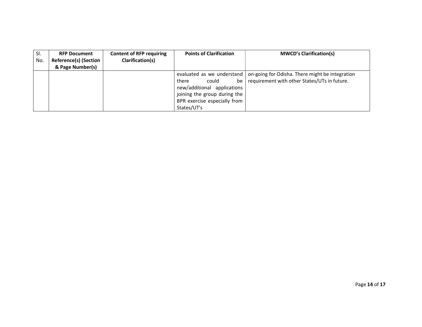| SI.<br>No. | <b>RFP Document</b><br><b>Reference(s) (Section</b><br>& Page Number(s) | <b>Content of RFP requiring</b><br>Clarification(s) | <b>Points of Clarification</b>                                                                                                                                   | <b>MWCD's Clarification(s)</b>                                                                  |
|------------|-------------------------------------------------------------------------|-----------------------------------------------------|------------------------------------------------------------------------------------------------------------------------------------------------------------------|-------------------------------------------------------------------------------------------------|
|            |                                                                         |                                                     | evaluated as we understand<br>there<br>could<br>be<br>new/additional applications<br>joining the group during the<br>BPR exercise especially from<br>States/UT's | on-going for Odisha. There might be integration<br>requirement with other States/UTs in future. |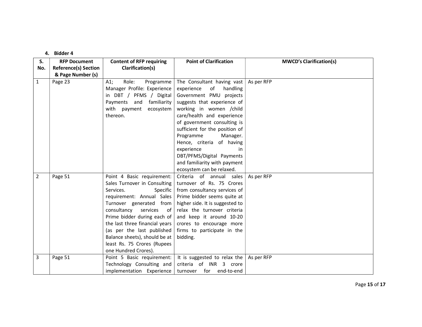| S.<br>No.      | <b>RFP Document</b><br><b>Reference(s) Section</b> | <b>Content of RFP requiring</b><br>Clarification(s)                                                                                                                                                                                                                                                                                                                 | <b>Point of Clarification</b>                                                                                                                                                                                                                                                             | <b>MWCD's Clarification(s)</b> |
|----------------|----------------------------------------------------|---------------------------------------------------------------------------------------------------------------------------------------------------------------------------------------------------------------------------------------------------------------------------------------------------------------------------------------------------------------------|-------------------------------------------------------------------------------------------------------------------------------------------------------------------------------------------------------------------------------------------------------------------------------------------|--------------------------------|
|                | & Page Number (s)                                  |                                                                                                                                                                                                                                                                                                                                                                     |                                                                                                                                                                                                                                                                                           |                                |
| $\mathbf{1}$   | Page 23                                            | Role:<br>$A1$ ;<br>Programme<br>Manager Profile: Experience<br>in DBT / PFMS / Digital<br>Payments and familiarity<br>with payment ecosystem<br>thereon.                                                                                                                                                                                                            | The Consultant having vast<br>of<br>handling<br>experience<br>Government PMU projects<br>suggests that experience of<br>working in women /child<br>care/health and experience<br>of government consulting is<br>sufficient for the position of<br>Programme<br>Manager.                   | As per RFP                     |
|                |                                                    |                                                                                                                                                                                                                                                                                                                                                                     | Hence, criteria of having<br>experience<br>in.<br>DBT/PFMS/Digital Payments<br>and familiarity with payment<br>ecosystem can be relaxed.                                                                                                                                                  |                                |
| $\overline{2}$ | Page 51                                            | Point 4 Basic requirement:<br>Sales Turnover in Consulting<br>Services.<br>Specific<br>requirement: Annual Sales<br>Turnover generated from<br>consultancy<br>services<br>of<br>Prime bidder during each of<br>the last three financial years<br>(as per the last published<br>Balance sheets), should be at<br>least Rs. 75 Crores (Rupees<br>one Hundred Crores). | Criteria of annual sales<br>turnover of Rs. 75 Crores<br>from consultancy services of<br>Prime bidder seems quite at<br>higher side. It is suggested to<br>relax the turnover criteria<br>and keep it around 10-20<br>crores to encourage more<br>firms to participate in the<br>bidding. | As per RFP                     |
| 3              | Page 51                                            | Point 5 Basic requirement:<br>Technology Consulting and<br>implementation Experience                                                                                                                                                                                                                                                                                | It is suggested to relax the<br>criteria of INR 3 crore<br>turnover for end-to-end                                                                                                                                                                                                        | As per RFP                     |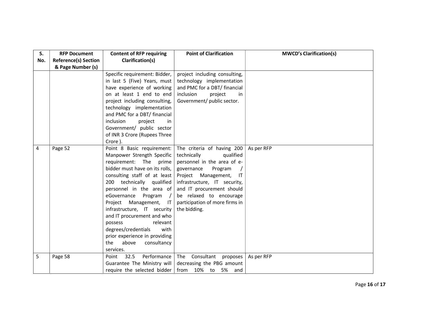| S.<br>No. | <b>RFP Document</b><br><b>Reference(s) Section</b><br>& Page Number (s) | <b>Content of RFP requiring</b><br>Clarification(s)                                                                                                                                                                                                                                                                                                                                                                                                                 | <b>Point of Clarification</b>                                                                                                                                                                                                                                                         | <b>MWCD's Clarification(s)</b> |
|-----------|-------------------------------------------------------------------------|---------------------------------------------------------------------------------------------------------------------------------------------------------------------------------------------------------------------------------------------------------------------------------------------------------------------------------------------------------------------------------------------------------------------------------------------------------------------|---------------------------------------------------------------------------------------------------------------------------------------------------------------------------------------------------------------------------------------------------------------------------------------|--------------------------------|
|           |                                                                         | Specific requirement: Bidder,<br>in last 5 (Five) Years, must<br>have experience of working<br>on at least 1 end to end<br>project including consulting,<br>technology implementation<br>and PMC for a DBT/ financial<br>inclusion<br>project<br>in.<br>Government/ public sector<br>of INR 3 Crore (Rupees Three<br>Crore).                                                                                                                                        | project including consulting,<br>technology implementation<br>and PMC for a DBT/ financial<br>inclusion<br>project<br>in<br>Government/ public sector.                                                                                                                                |                                |
| 4         | Page 52                                                                 | Point 8 Basic requirement:<br>Manpower Strength Specific<br>requirement: The<br>prime<br>bidder must have on its rolls,<br>consulting staff of at least<br>200 technically qualified<br>personnel in the area of<br>eGovernance Program /<br>Project Management, IT<br>infrastructure, IT security<br>and IT procurement and who<br>relevant<br>possess<br>degrees/credentials<br>with<br>prior experience in providing<br>the<br>above<br>consultancy<br>services. | The criteria of having 200<br>technically<br>qualified<br>personnel in the area of e-<br>governance<br>Program<br>Project Management,<br>IT<br>infrastructure, IT security,<br>and IT procurement should<br>be relaxed to encourage<br>participation of more firms in<br>the bidding. | As per RFP                     |
| 5         | Page 58                                                                 | Performance<br>32.5<br>Point<br>Guarantee The Ministry will<br>require the selected bidder                                                                                                                                                                                                                                                                                                                                                                          | The Consultant proposes<br>decreasing the PBG amount<br>from 10% to 5% and                                                                                                                                                                                                            | As per RFP                     |